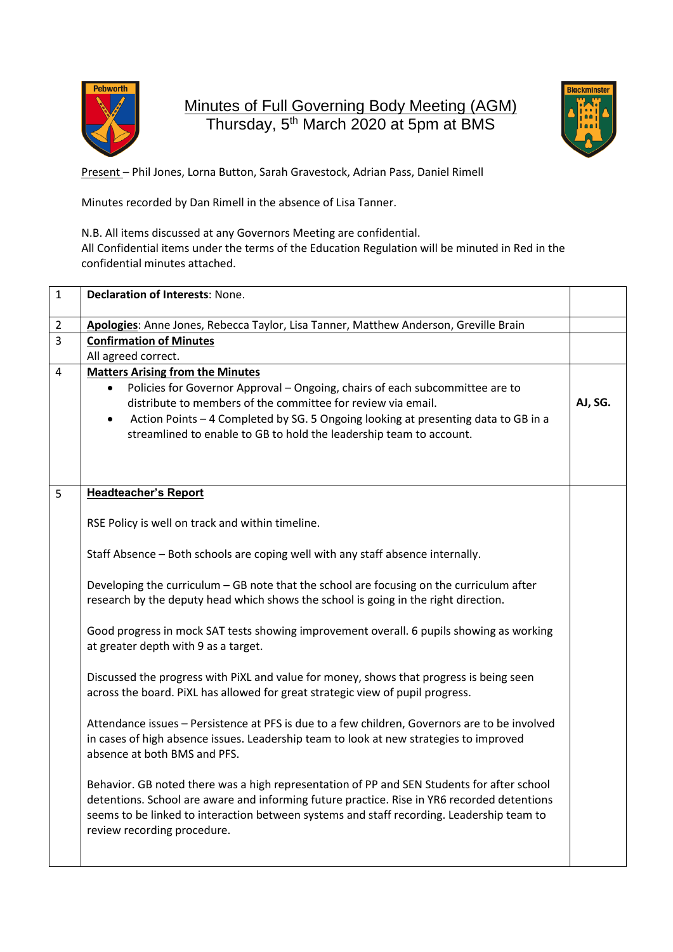

Minutes of Full Governing Body Meeting (AGM) Thursday, 5<sup>th</sup> March 2020 at 5pm at BMS



Present – Phil Jones, Lorna Button, Sarah Gravestock, Adrian Pass, Daniel Rimell

Minutes recorded by Dan Rimell in the absence of Lisa Tanner.

N.B. All items discussed at any Governors Meeting are confidential. All Confidential items under the terms of the Education Regulation will be minuted in Red in the confidential minutes attached.

| $\mathbf{1}$   | <b>Declaration of Interests: None.</b>                                                                                                                                                                                                                                                                                                                            |         |
|----------------|-------------------------------------------------------------------------------------------------------------------------------------------------------------------------------------------------------------------------------------------------------------------------------------------------------------------------------------------------------------------|---------|
| $\overline{2}$ | Apologies: Anne Jones, Rebecca Taylor, Lisa Tanner, Matthew Anderson, Greville Brain                                                                                                                                                                                                                                                                              |         |
| $\overline{3}$ | <b>Confirmation of Minutes</b>                                                                                                                                                                                                                                                                                                                                    |         |
|                | All agreed correct.                                                                                                                                                                                                                                                                                                                                               |         |
| $\overline{4}$ | <b>Matters Arising from the Minutes</b><br>Policies for Governor Approval - Ongoing, chairs of each subcommittee are to<br>distribute to members of the committee for review via email.<br>Action Points - 4 Completed by SG. 5 Ongoing looking at presenting data to GB in a<br>$\bullet$<br>streamlined to enable to GB to hold the leadership team to account. | AJ, SG. |
| 5              | <b>Headteacher's Report</b>                                                                                                                                                                                                                                                                                                                                       |         |
|                | RSE Policy is well on track and within timeline.                                                                                                                                                                                                                                                                                                                  |         |
|                | Staff Absence - Both schools are coping well with any staff absence internally.                                                                                                                                                                                                                                                                                   |         |
|                | Developing the curriculum - GB note that the school are focusing on the curriculum after<br>research by the deputy head which shows the school is going in the right direction.                                                                                                                                                                                   |         |
|                | Good progress in mock SAT tests showing improvement overall. 6 pupils showing as working<br>at greater depth with 9 as a target.                                                                                                                                                                                                                                  |         |
|                | Discussed the progress with PiXL and value for money, shows that progress is being seen<br>across the board. PiXL has allowed for great strategic view of pupil progress.                                                                                                                                                                                         |         |
|                | Attendance issues - Persistence at PFS is due to a few children, Governors are to be involved<br>in cases of high absence issues. Leadership team to look at new strategies to improved<br>absence at both BMS and PFS.                                                                                                                                           |         |
|                | Behavior. GB noted there was a high representation of PP and SEN Students for after school<br>detentions. School are aware and informing future practice. Rise in YR6 recorded detentions<br>seems to be linked to interaction between systems and staff recording. Leadership team to<br>review recording procedure.                                             |         |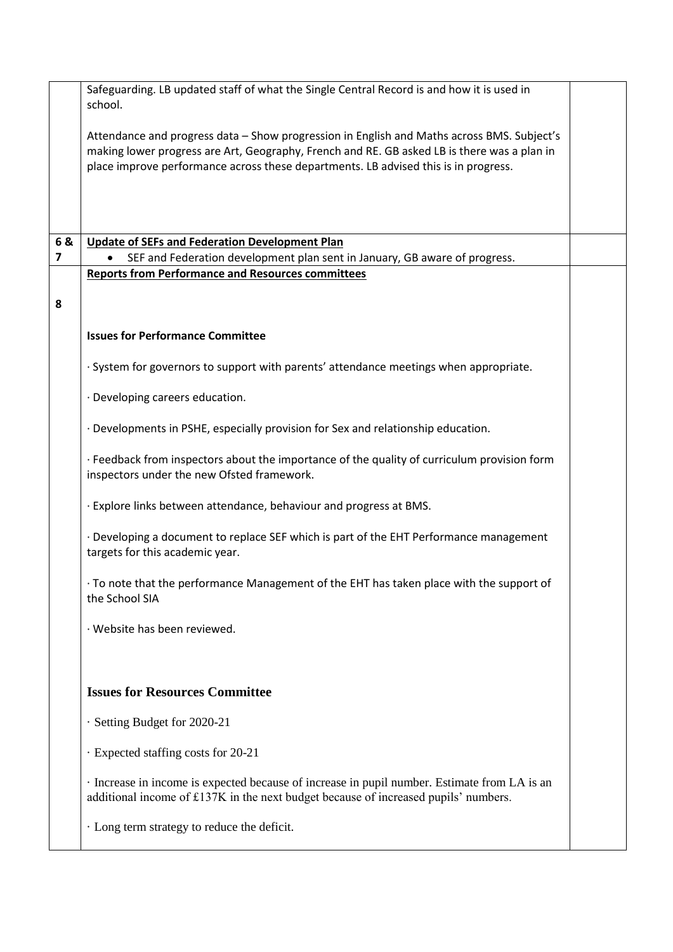|                         | Safeguarding. LB updated staff of what the Single Central Record is and how it is used in                                                                                          |  |
|-------------------------|------------------------------------------------------------------------------------------------------------------------------------------------------------------------------------|--|
|                         | school.                                                                                                                                                                            |  |
|                         | Attendance and progress data - Show progression in English and Maths across BMS. Subject's                                                                                         |  |
|                         | making lower progress are Art, Geography, French and RE. GB asked LB is there was a plan in<br>place improve performance across these departments. LB advised this is in progress. |  |
|                         |                                                                                                                                                                                    |  |
|                         |                                                                                                                                                                                    |  |
| 6&                      | <b>Update of SEFs and Federation Development Plan</b>                                                                                                                              |  |
| $\overline{\mathbf{z}}$ | SEF and Federation development plan sent in January, GB aware of progress.                                                                                                         |  |
|                         | <b>Reports from Performance and Resources committees</b>                                                                                                                           |  |
| 8                       |                                                                                                                                                                                    |  |
|                         | <b>Issues for Performance Committee</b>                                                                                                                                            |  |
|                         |                                                                                                                                                                                    |  |
|                         | · System for governors to support with parents' attendance meetings when appropriate.                                                                                              |  |
|                         | · Developing careers education.                                                                                                                                                    |  |
|                         | · Developments in PSHE, especially provision for Sex and relationship education.                                                                                                   |  |
|                         | · Feedback from inspectors about the importance of the quality of curriculum provision form<br>inspectors under the new Ofsted framework.                                          |  |
|                         | . Explore links between attendance, behaviour and progress at BMS.                                                                                                                 |  |
|                         | . Developing a document to replace SEF which is part of the EHT Performance management<br>targets for this academic year.                                                          |  |
|                         | To note that the performance Management of the EHT has taken place with the support of<br>the School SIA                                                                           |  |
|                         | · Website has been reviewed.                                                                                                                                                       |  |
|                         |                                                                                                                                                                                    |  |
|                         | <b>Issues for Resources Committee</b>                                                                                                                                              |  |
|                         | · Setting Budget for 2020-21                                                                                                                                                       |  |
|                         | · Expected staffing costs for 20-21                                                                                                                                                |  |
|                         | Increase in income is expected because of increase in pupil number. Estimate from LA is an<br>additional income of £137K in the next budget because of increased pupils' numbers.  |  |
|                         | · Long term strategy to reduce the deficit.                                                                                                                                        |  |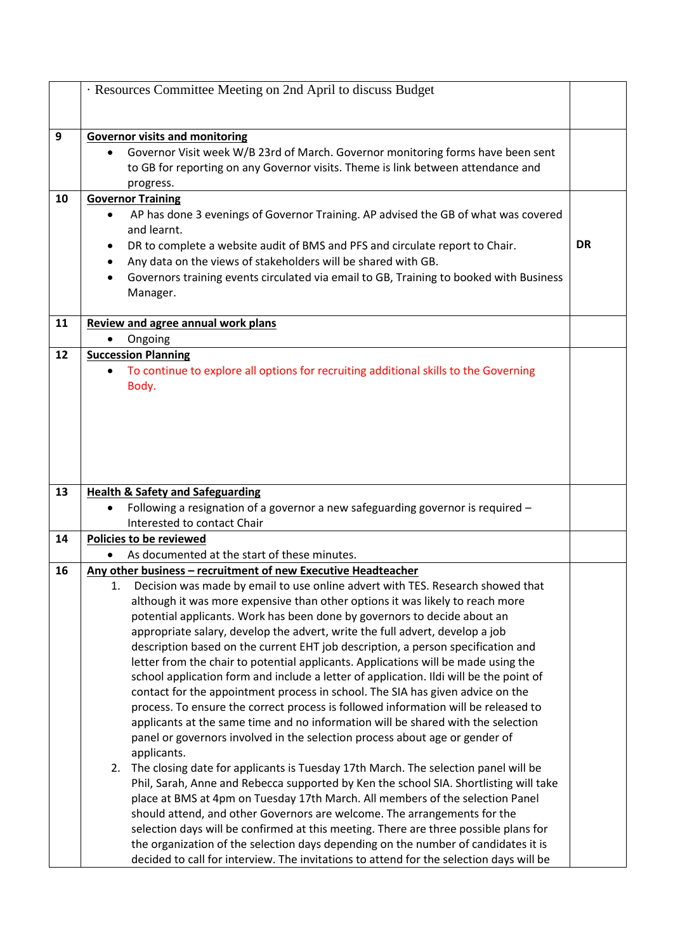|    | · Resources Committee Meeting on 2nd April to discuss Budget                                    |           |
|----|-------------------------------------------------------------------------------------------------|-----------|
|    |                                                                                                 |           |
|    |                                                                                                 |           |
| 9  | <b>Governor visits and monitoring</b>                                                           |           |
|    | Governor Visit week W/B 23rd of March. Governor monitoring forms have been sent                 |           |
|    | to GB for reporting on any Governor visits. Theme is link between attendance and                |           |
|    | progress.                                                                                       |           |
| 10 | <b>Governor Training</b>                                                                        |           |
|    | AP has done 3 evenings of Governor Training. AP advised the GB of what was covered<br>$\bullet$ |           |
|    | and learnt.                                                                                     |           |
|    | DR to complete a website audit of BMS and PFS and circulate report to Chair.                    | <b>DR</b> |
|    | Any data on the views of stakeholders will be shared with GB.<br>$\bullet$                      |           |
|    | Governors training events circulated via email to GB, Training to booked with Business          |           |
|    | Manager.                                                                                        |           |
|    |                                                                                                 |           |
| 11 | <b>Review and agree annual work plans</b>                                                       |           |
|    | Ongoing                                                                                         |           |
| 12 | <b>Succession Planning</b>                                                                      |           |
|    | To continue to explore all options for recruiting additional skills to the Governing            |           |
|    | Body.                                                                                           |           |
|    |                                                                                                 |           |
|    |                                                                                                 |           |
|    |                                                                                                 |           |
|    |                                                                                                 |           |
|    |                                                                                                 |           |
|    |                                                                                                 |           |
| 13 | <b>Health &amp; Safety and Safeguarding</b>                                                     |           |
|    | Following a resignation of a governor a new safeguarding governor is required -                 |           |
|    | Interested to contact Chair                                                                     |           |
| 14 | Policies to be reviewed                                                                         |           |
|    | As documented at the start of these minutes.                                                    |           |
| 16 | Any other business - recruitment of new Executive Headteacher                                   |           |
|    | 1. Decision was made by email to use online advert with TES. Research showed that               |           |
|    | although it was more expensive than other options it was likely to reach more                   |           |
|    | potential applicants. Work has been done by governors to decide about an                        |           |
|    | appropriate salary, develop the advert, write the full advert, develop a job                    |           |
|    | description based on the current EHT job description, a person specification and                |           |
|    | letter from the chair to potential applicants. Applications will be made using the              |           |
|    | school application form and include a letter of application. Ildi will be the point of          |           |
|    | contact for the appointment process in school. The SIA has given advice on the                  |           |
|    | process. To ensure the correct process is followed information will be released to              |           |
|    | applicants at the same time and no information will be shared with the selection                |           |
|    | panel or governors involved in the selection process about age or gender of                     |           |
|    | applicants.                                                                                     |           |
|    | The closing date for applicants is Tuesday 17th March. The selection panel will be<br>2.        |           |
|    | Phil, Sarah, Anne and Rebecca supported by Ken the school SIA. Shortlisting will take           |           |
|    | place at BMS at 4pm on Tuesday 17th March. All members of the selection Panel                   |           |
|    | should attend, and other Governors are welcome. The arrangements for the                        |           |
|    | selection days will be confirmed at this meeting. There are three possible plans for            |           |
|    | the organization of the selection days depending on the number of candidates it is              |           |
|    | decided to call for interview. The invitations to attend for the selection days will be         |           |
|    |                                                                                                 |           |